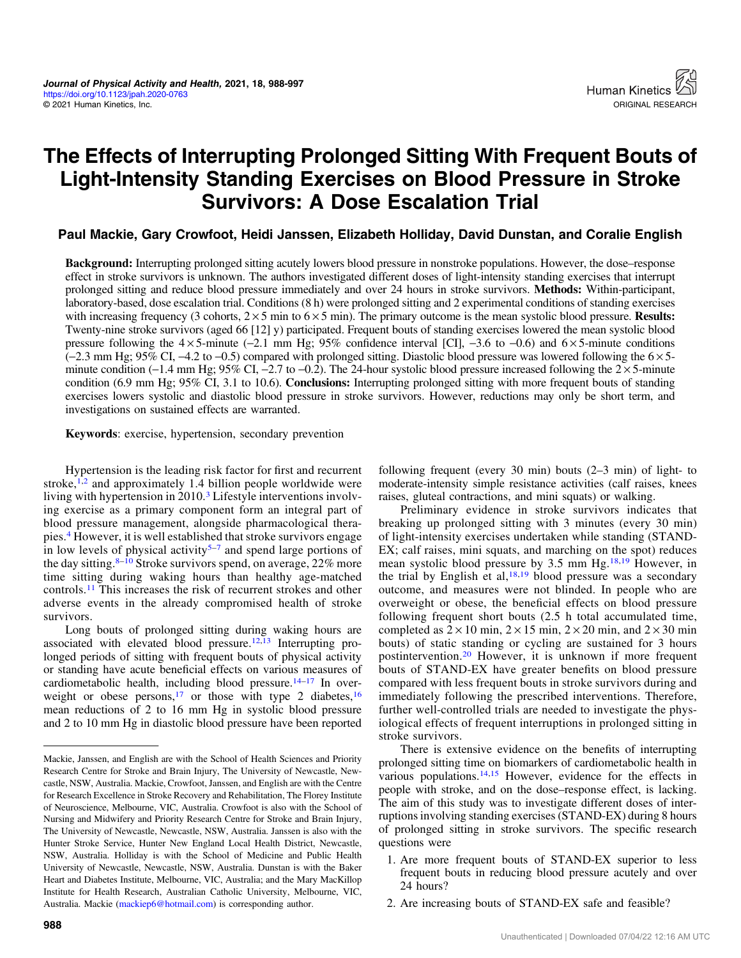# The Effects of Interrupting Prolonged Sitting With Frequent Bouts of Light-Intensity Standing Exercises on Blood Pressure in Stroke Survivors: A Dose Escalation Trial

Paul Mackie, Gary Crowfoot, Heidi Janssen, Elizabeth Holliday, David Dunstan, and Coralie English

Background: Interrupting prolonged sitting acutely lowers blood pressure in nonstroke populations. However, the dose–response effect in stroke survivors is unknown. The authors investigated different doses of light-intensity standing exercises that interrupt prolonged sitting and reduce blood pressure immediately and over 24 hours in stroke survivors. Methods: Within-participant, laboratory-based, dose escalation trial. Conditions (8 h) were prolonged sitting and 2 experimental conditions of standing exercises with increasing frequency (3 cohorts,  $2 \times 5$  min to  $6 \times 5$  min). The primary outcome is the mean systolic blood pressure. Results: Twenty-nine stroke survivors (aged 66 [12] y) participated. Frequent bouts of standing exercises lowered the mean systolic blood pressure following the  $4 \times 5$ -minute (−2.1 mm Hg; 95% confidence interval [CI], −3.6 to −0.6) and  $6 \times 5$ -minute conditions (−2.3 mm Hg; 95% CI, −4.2 to −0.5) compared with prolonged sitting. Diastolic blood pressure was lowered following the 6 × 5 minute condition (−1.4 mm Hg; 95% CI, −2.7 to −0.2). The 24-hour systolic blood pressure increased following the  $2 \times 5$ -minute condition (6.9 mm Hg; 95% CI, 3.1 to 10.6). **Conclusions:** Interrupting prolonged sitting with more frequent bouts of standing exercises lowers systolic and diastolic blood pressure in stroke survivors. However, reductions may only be short term, and investigations on sustained effects are warranted.

Keywords: exercise, hypertension, secondary prevention

Hypertension is the leading risk factor for first and recurrent stroke, $1,2$  and approximately 1.4 billion people worldwide were living with hypertension in 2010.<sup>3</sup> Lifestyle interventions involving exercise as a primary component form an integral part of blood pressure management, alongside pharmacological therapies.[4](#page-8-0) However, it is well established that stroke survivors engage in low levels of physical activity<sup>[5](#page-8-0)-[7](#page-8-0)</sup> and spend large portions of the day sitting. $8-10$  $8-10$  Stroke survivors spend, on average, 22% more time sitting during waking hours than healthy age-matched controls.[11](#page-8-0) This increases the risk of recurrent strokes and other adverse events in the already compromised health of stroke survivors.

Long bouts of prolonged sitting during waking hours are associated with elevated blood pressure.[12](#page-8-0),[13](#page-8-0) Interrupting prolonged periods of sitting with frequent bouts of physical activity or standing have acute beneficial effects on various measures of cardiometabolic health, including blood pressure.<sup>14–[17](#page-9-0)</sup> In over-weight or obese persons,<sup>[17](#page-9-0)</sup> or those with type 2 diabetes,<sup>[16](#page-9-0)</sup> mean reductions of 2 to 16 mm Hg in systolic blood pressure and 2 to 10 mm Hg in diastolic blood pressure have been reported following frequent (every 30 min) bouts (2–3 min) of light- to moderate-intensity simple resistance activities (calf raises, knees raises, gluteal contractions, and mini squats) or walking.

Preliminary evidence in stroke survivors indicates that breaking up prolonged sitting with 3 minutes (every 30 min) of light-intensity exercises undertaken while standing (STAND-EX; calf raises, mini squats, and marching on the spot) reduces mean systolic blood pressure by  $3.5$  mm Hg.<sup>[18,19](#page-9-0)</sup> However, in the trial by English et al, $18,19$  blood pressure was a secondary outcome, and measures were not blinded. In people who are overweight or obese, the beneficial effects on blood pressure following frequent short bouts (2.5 h total accumulated time, completed as  $2 \times 10$  min,  $2 \times 15$  min,  $2 \times 20$  min, and  $2 \times 30$  min bouts) of static standing or cycling are sustained for 3 hours postintervention[.20](#page-9-0) However, it is unknown if more frequent bouts of STAND-EX have greater benefits on blood pressure compared with less frequent bouts in stroke survivors during and immediately following the prescribed interventions. Therefore, further well-controlled trials are needed to investigate the physiological effects of frequent interruptions in prolonged sitting in stroke survivors.

There is extensive evidence on the benefits of interrupting prolonged sitting time on biomarkers of cardiometabolic health in various populations.<sup>14,15</sup> However, evidence for the effects in people with stroke, and on the dose–response effect, is lacking. The aim of this study was to investigate different doses of interruptions involving standing exercises (STAND-EX) during 8 hours of prolonged sitting in stroke survivors. The specific research questions were

- 1. Are more frequent bouts of STAND-EX superior to less frequent bouts in reducing blood pressure acutely and over 24 hours?
- 2. Are increasing bouts of STAND-EX safe and feasible?

Mackie, Janssen, and English are with the School of Health Sciences and Priority Research Centre for Stroke and Brain Injury, The University of Newcastle, Newcastle, NSW, Australia. Mackie, Crowfoot, Janssen, and English are with the Centre for Research Excellence in Stroke Recovery and Rehabilitation, The Florey Institute of Neuroscience, Melbourne, VIC, Australia. Crowfoot is also with the School of Nursing and Midwifery and Priority Research Centre for Stroke and Brain Injury, The University of Newcastle, Newcastle, NSW, Australia. Janssen is also with the Hunter Stroke Service, Hunter New England Local Health District, Newcastle, NSW, Australia. Holliday is with the School of Medicine and Public Health University of Newcastle, Newcastle, NSW, Australia. Dunstan is with the Baker Heart and Diabetes Institute, Melbourne, VIC, Australia; and the Mary MacKillop Institute for Health Research, Australian Catholic University, Melbourne, VIC, Australia. Mackie [\(mackiep6@hotmail.com](mailto:mackiep6@hotmail.com)) is corresponding author.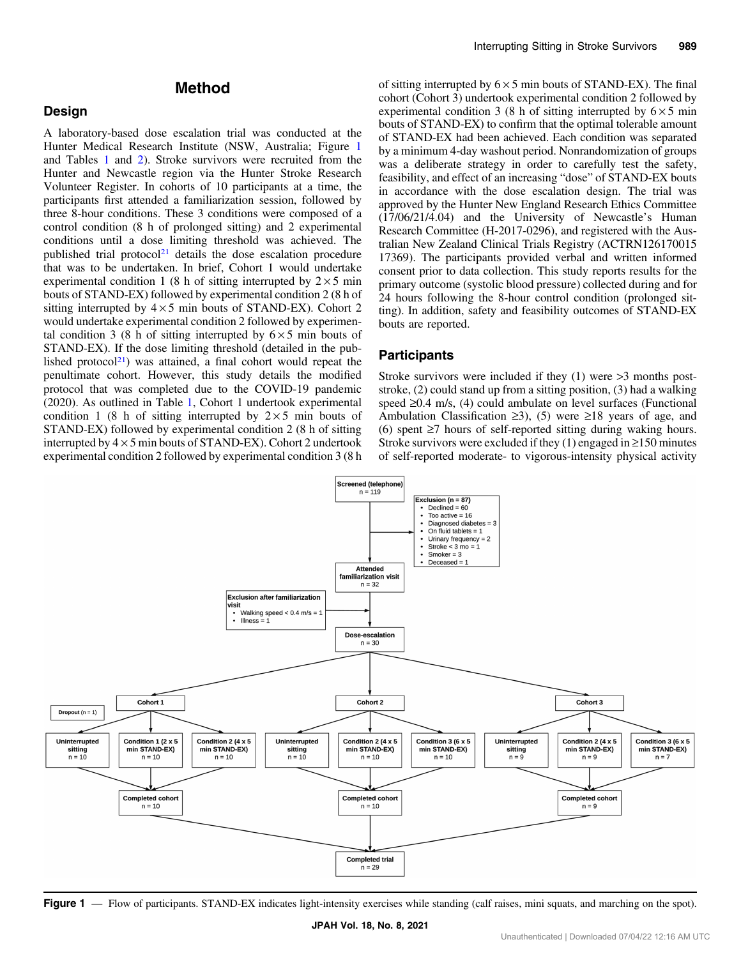## Method

#### <span id="page-1-0"></span>Design

A laboratory-based dose escalation trial was conducted at the Hunter Medical Research Institute (NSW, Australia; Figure 1 and Tables [1](#page-2-0) and [2\)](#page-3-0). Stroke survivors were recruited from the Hunter and Newcastle region via the Hunter Stroke Research Volunteer Register. In cohorts of 10 participants at a time, the participants first attended a familiarization session, followed by three 8-hour conditions. These 3 conditions were composed of a control condition (8 h of prolonged sitting) and 2 experimental conditions until a dose limiting threshold was achieved. The published trial protocol<sup>[21](#page-9-0)</sup> details the dose escalation procedure that was to be undertaken. In brief, Cohort 1 would undertake experimental condition 1 (8 h of sitting interrupted by  $2 \times 5$  min bouts of STAND-EX) followed by experimental condition 2 (8 h of sitting interrupted by  $4 \times 5$  min bouts of STAND-EX). Cohort 2 would undertake experimental condition 2 followed by experimental condition 3 (8 h of sitting interrupted by  $6 \times 5$  min bouts of STAND-EX). If the dose limiting threshold (detailed in the published protocol $^{21}$  $^{21}$  $^{21}$ ) was attained, a final cohort would repeat the penultimate cohort. However, this study details the modified protocol that was completed due to the COVID-19 pandemic (2020). As outlined in Table [1](#page-2-0), Cohort 1 undertook experimental condition 1 (8 h of sitting interrupted by  $2 \times 5$  min bouts of STAND-EX) followed by experimental condition 2 (8 h of sitting interrupted by  $4 \times 5$  min bouts of STAND-EX). Cohort 2 undertook experimental condition 2 followed by experimental condition 3 (8 h of sitting interrupted by  $6 \times 5$  min bouts of STAND-EX). The final cohort (Cohort 3) undertook experimental condition 2 followed by experimental condition 3 (8 h of sitting interrupted by  $6 \times 5$  min bouts of STAND-EX) to confirm that the optimal tolerable amount of STAND-EX had been achieved. Each condition was separated by a minimum 4-day washout period. Nonrandomization of groups was a deliberate strategy in order to carefully test the safety, feasibility, and effect of an increasing "dose" of STAND-EX bouts in accordance with the dose escalation design. The trial was approved by the Hunter New England Research Ethics Committee (17/06/21/4.04) and the University of Newcastle's Human Research Committee (H-2017-0296), and registered with the Australian New Zealand Clinical Trials Registry (ACTRN126170015 17369). The participants provided verbal and written informed consent prior to data collection. This study reports results for the primary outcome (systolic blood pressure) collected during and for 24 hours following the 8-hour control condition (prolonged sitting). In addition, safety and feasibility outcomes of STAND-EX bouts are reported.

#### Participants

Stroke survivors were included if they (1) were >3 months poststroke, (2) could stand up from a sitting position, (3) had a walking speed ≥0.4 m/s, (4) could ambulate on level surfaces (Functional Ambulation Classification  $\geq 3$ ), (5) were  $\geq 18$  years of age, and (6) spent ≥7 hours of self-reported sitting during waking hours. Stroke survivors were excluded if they  $(1)$  engaged in  $\geq 150$  minutes of self-reported moderate- to vigorous-intensity physical activity



Figure 1 — Flow of participants. STAND-EX indicates light-intensity exercises while standing (calf raises, mini squats, and marching on the spot).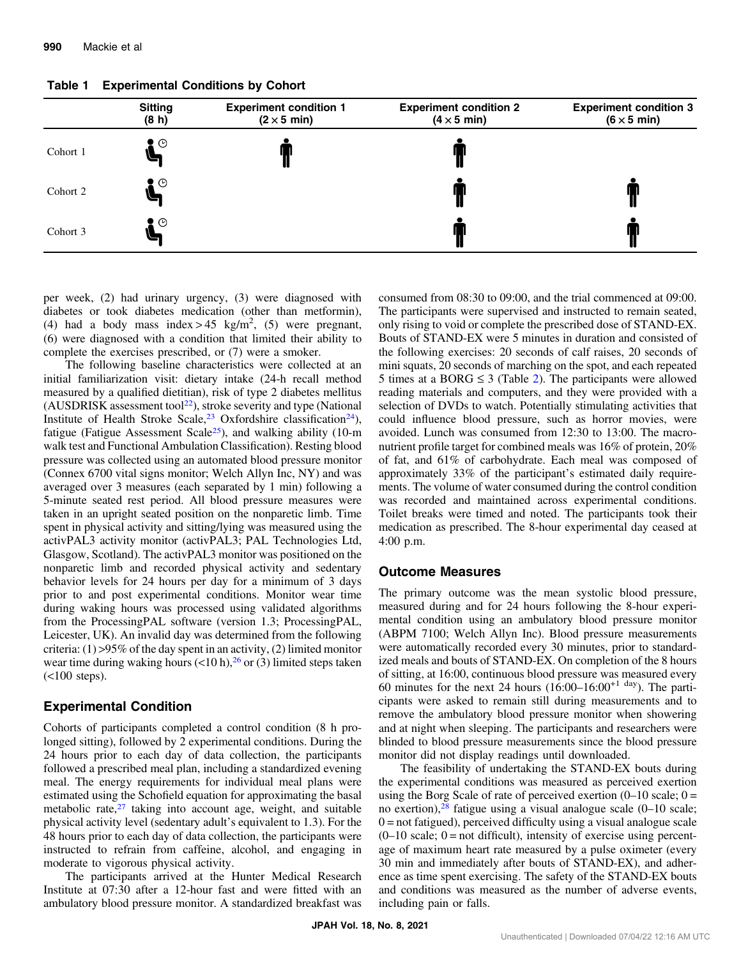|          | <b>Sitting</b><br>(8 h) | <b>Experiment condition 1</b><br>$(2 \times 5 \text{ min})$ | <b>Experiment condition 2</b><br>$(4 \times 5$ min) | <b>Experiment condition 3</b><br>$(6 \times 5 \text{ min})$ |
|----------|-------------------------|-------------------------------------------------------------|-----------------------------------------------------|-------------------------------------------------------------|
| Cohort 1 | 2 ⊙                     |                                                             |                                                     |                                                             |
| Cohort 2 | $\bullet$ $\circ$       |                                                             |                                                     |                                                             |
| Cohort 3 | ় ⊙                     |                                                             |                                                     |                                                             |

<span id="page-2-0"></span>Table 1 Experimental Conditions by Cohort

per week, (2) had urinary urgency, (3) were diagnosed with diabetes or took diabetes medication (other than metformin), (4) had a body mass index > 45 kg/m<sup>2</sup>, (5) were pregnant, (6) were diagnosed with a condition that limited their ability to complete the exercises prescribed, or (7) were a smoker.

The following baseline characteristics were collected at an initial familiarization visit: dietary intake (24-h recall method measured by a qualified dietitian), risk of type 2 diabetes mellitus (AUSDRISK assessment tool<sup>22</sup>), stroke severity and type (National Institute of Health Stroke Scale,<sup>[23](#page-9-0)</sup> Oxfordshire classification<sup>24</sup>), fatigue (Fatigue Assessment Scale<sup>25</sup>), and walking ability (10-m walk test and Functional Ambulation Classification). Resting blood pressure was collected using an automated blood pressure monitor (Connex 6700 vital signs monitor; Welch Allyn Inc, NY) and was averaged over 3 measures (each separated by 1 min) following a 5-minute seated rest period. All blood pressure measures were taken in an upright seated position on the nonparetic limb. Time spent in physical activity and sitting/lying was measured using the activPAL3 activity monitor (activPAL3; PAL Technologies Ltd, Glasgow, Scotland). The activPAL3 monitor was positioned on the nonparetic limb and recorded physical activity and sedentary behavior levels for 24 hours per day for a minimum of 3 days prior to and post experimental conditions. Monitor wear time during waking hours was processed using validated algorithms from the ProcessingPAL software (version 1.3; ProcessingPAL, Leicester, UK). An invalid day was determined from the following criteria:  $(1) > 95\%$  of the day spent in an activity,  $(2)$  limited monitor wear time during waking hours  $\left($  < 10 h),<sup>26</sup> or (3) limited steps taken  $(<$ 100 steps).

#### Experimental Condition

Cohorts of participants completed a control condition (8 h prolonged sitting), followed by 2 experimental conditions. During the 24 hours prior to each day of data collection, the participants followed a prescribed meal plan, including a standardized evening meal. The energy requirements for individual meal plans were estimated using the Schofield equation for approximating the basal metabolic rate, $27$  taking into account age, weight, and suitable physical activity level (sedentary adult's equivalent to 1.3). For the 48 hours prior to each day of data collection, the participants were instructed to refrain from caffeine, alcohol, and engaging in moderate to vigorous physical activity.

The participants arrived at the Hunter Medical Research Institute at 07:30 after a 12-hour fast and were fitted with an ambulatory blood pressure monitor. A standardized breakfast was consumed from 08:30 to 09:00, and the trial commenced at 09:00. The participants were supervised and instructed to remain seated, only rising to void or complete the prescribed dose of STAND-EX. Bouts of STAND-EX were 5 minutes in duration and consisted of the following exercises: 20 seconds of calf raises, 20 seconds of mini squats, 20 seconds of marching on the spot, and each repeated 5 times at a BORG  $\leq$  3 (Table [2](#page-3-0)). The participants were allowed reading materials and computers, and they were provided with a selection of DVDs to watch. Potentially stimulating activities that could influence blood pressure, such as horror movies, were avoided. Lunch was consumed from 12:30 to 13:00. The macronutrient profile target for combined meals was 16% of protein, 20% of fat, and 61% of carbohydrate. Each meal was composed of approximately 33% of the participant's estimated daily requirements. The volume of water consumed during the control condition was recorded and maintained across experimental conditions. Toilet breaks were timed and noted. The participants took their medication as prescribed. The 8-hour experimental day ceased at 4:00 p.m.

#### Outcome Measures

The primary outcome was the mean systolic blood pressure, measured during and for 24 hours following the 8-hour experimental condition using an ambulatory blood pressure monitor (ABPM 7100; Welch Allyn Inc). Blood pressure measurements were automatically recorded every 30 minutes, prior to standardized meals and bouts of STAND-EX. On completion of the 8 hours of sitting, at 16:00, continuous blood pressure was measured every 60 minutes for the next 24 hours  $(16:00-16:00^{+1}$  day). The participants were asked to remain still during measurements and to remove the ambulatory blood pressure monitor when showering and at night when sleeping. The participants and researchers were blinded to blood pressure measurements since the blood pressure monitor did not display readings until downloaded.

The feasibility of undertaking the STAND-EX bouts during the experimental conditions was measured as perceived exertion using the Borg Scale of rate of perceived exertion  $(0-10 \text{ scale}; 0=$ no exertion), $28$  fatigue using a visual analogue scale (0–10 scale;  $0 =$  not fatigued), perceived difficulty using a visual analogue scale  $(0-10 \text{ scale}; 0)$  = not difficult), intensity of exercise using percentage of maximum heart rate measured by a pulse oximeter (every 30 min and immediately after bouts of STAND-EX), and adherence as time spent exercising. The safety of the STAND-EX bouts and conditions was measured as the number of adverse events, including pain or falls.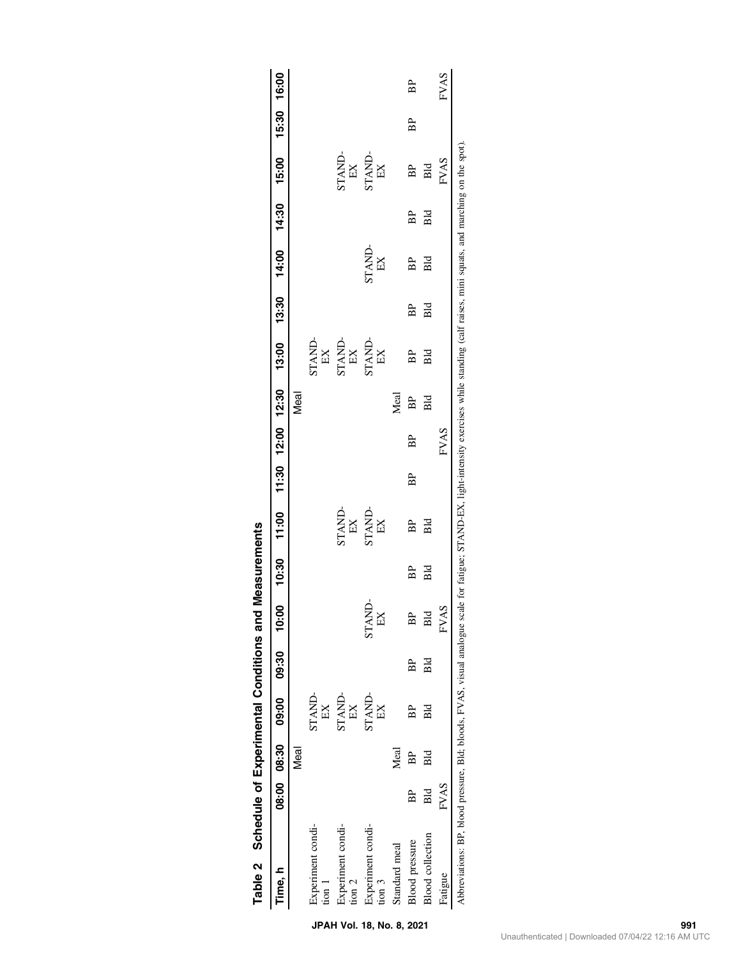<span id="page-3-0"></span>

| Table 2 Schedule of Experimental Conditions and                                                                                                                                                  |             |      |                             |     |                    | <b>Measurements</b> |              |    |                   |      |                                                            |       |              |       |              |             |      |
|--------------------------------------------------------------------------------------------------------------------------------------------------------------------------------------------------|-------------|------|-----------------------------|-----|--------------------|---------------------|--------------|----|-------------------|------|------------------------------------------------------------|-------|--------------|-------|--------------|-------------|------|
| ime, h                                                                                                                                                                                           |             |      | 08:00 08:30 09:00 0.80 0.80 |     |                    | 10:30               | 11.00        |    | 11:30 12:00 12:30 |      | 13:00                                                      | 13:30 | 14:00        | 14:30 | 15:00        | 15:30 16:00 |      |
|                                                                                                                                                                                                  |             | Meal |                             |     |                    |                     |              |    |                   | Meal |                                                            |       |              |       |              |             |      |
| Experiment condi-<br>$\frac{1}{2}$                                                                                                                                                               |             |      | STAND-<br>EX                |     |                    |                     |              |    |                   |      | STAND-<br>EX                                               |       |              |       |              |             |      |
| Experiment condi-<br>$\frac{1}{2}$                                                                                                                                                               |             |      | <b>STAND-</b><br>EX         |     |                    |                     | STAND-<br>EX |    |                   |      | $\begin{array}{ll} \text{STAND-} \\ \text{EX} \end{array}$ |       |              |       | STAND-<br>EX |             |      |
| Experiment condi-<br>$t$ on $3$                                                                                                                                                                  |             |      | <b>STAND-</b><br>EX         |     | <b>STAND</b><br>EX |                     | STAND-<br>EX |    |                   |      | STAND-<br>EX                                               |       | STAND-<br>EX |       | STAND-<br>EX |             |      |
| Standard meal                                                                                                                                                                                    |             | Meal |                             |     |                    |                     |              |    |                   | Meal |                                                            |       |              |       |              |             |      |
| <b>Blood</b> pressure                                                                                                                                                                            | BP          | BP   | BP                          | BP  | BP                 | BP                  | BP           | BP | BP                | BP   | BP                                                         | BP    | BP           | BP    | BP           | BP          | BP   |
| <b>Blood</b> collection                                                                                                                                                                          | Bld         | Вld  | Bld                         | Вld | Bld                | Bid                 | Вld          |    |                   | Bld  | Вld                                                        | Bld   | Вld          | Вld   | Bld          |             |      |
| Fatigue                                                                                                                                                                                          | <b>FVAS</b> |      |                             |     | <b>FVAS</b>        |                     |              |    | FVAS              |      |                                                            |       |              |       | FVAS         |             | FVAS |
| Abbreviations: BP, blood pressure, Bld; bloods, FVAS, visual analogue scale for fatigue; STAND-EX, light-intensity exercises while standing (calf raises, mini squats, and marching on the spot) |             |      |                             |     |                    |                     |              |    |                   |      |                                                            |       |              |       |              |             |      |

|        | <br> <br> |
|--------|-----------|
| i      |           |
|        | í         |
| I      |           |
| .<br>ا | ı<br>1    |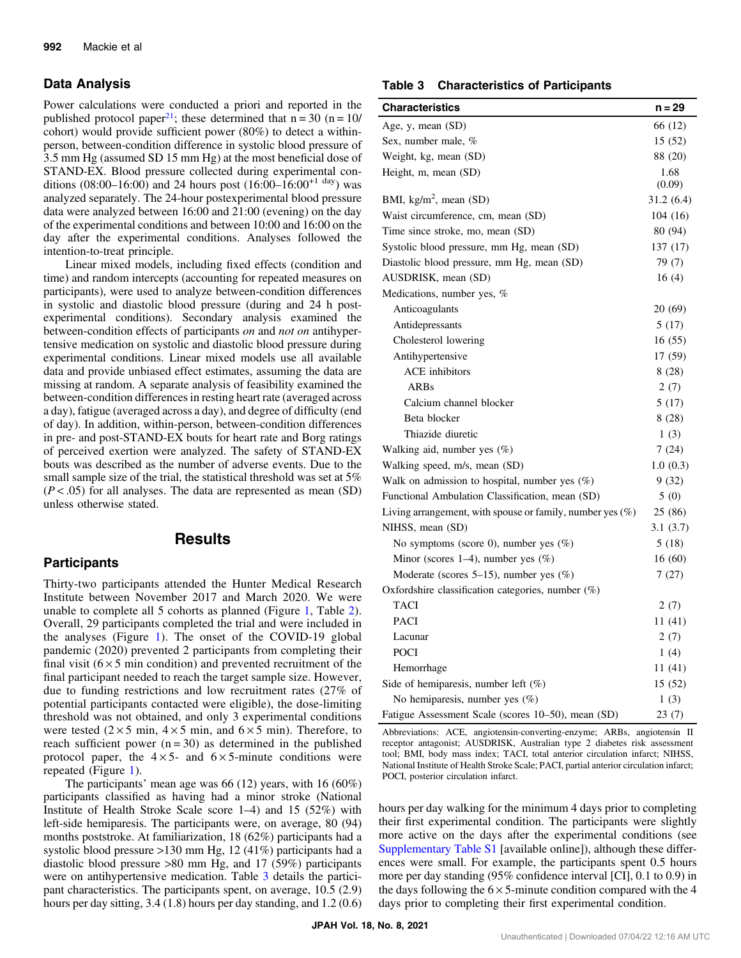## Data Analysis

Power calculations were conducted a priori and reported in the published protocol paper<sup>21</sup>; these determined that  $n = 30$  ( $n = 10$ / cohort) would provide sufficient power (80%) to detect a withinperson, between-condition difference in systolic blood pressure of 3.5 mm Hg (assumed SD 15 mm Hg) at the most beneficial dose of STAND-EX. Blood pressure collected during experimental conditions (08:00–16:00) and 24 hours post (16:00–16:00<sup>+1 day</sup>) was analyzed separately. The 24-hour postexperimental blood pressure data were analyzed between 16:00 and 21:00 (evening) on the day of the experimental conditions and between 10:00 and 16:00 on the day after the experimental conditions. Analyses followed the intention-to-treat principle.

Linear mixed models, including fixed effects (condition and time) and random intercepts (accounting for repeated measures on participants), were used to analyze between-condition differences in systolic and diastolic blood pressure (during and 24 h postexperimental conditions). Secondary analysis examined the between-condition effects of participants on and not on antihypertensive medication on systolic and diastolic blood pressure during experimental conditions. Linear mixed models use all available data and provide unbiased effect estimates, assuming the data are missing at random. A separate analysis of feasibility examined the between-condition differences in resting heart rate (averaged across a day), fatigue (averaged across a day), and degree of difficulty (end of day). In addition, within-person, between-condition differences in pre- and post-STAND-EX bouts for heart rate and Borg ratings of perceived exertion were analyzed. The safety of STAND-EX bouts was described as the number of adverse events. Due to the small sample size of the trial, the statistical threshold was set at 5%  $(P < .05)$  for all analyses. The data are represented as mean (SD) unless otherwise stated.

## Results

## **Participants**

Thirty-two participants attended the Hunter Medical Research Institute between November 2017 and March 2020. We were unable to complete all 5 cohorts as planned (Figure [1](#page-1-0), Table [2](#page-3-0)). Overall, 29 participants completed the trial and were included in the analyses (Figure [1](#page-1-0)). The onset of the COVID-19 global pandemic (2020) prevented 2 participants from completing their final visit ( $6 \times 5$  min condition) and prevented recruitment of the final participant needed to reach the target sample size. However, due to funding restrictions and low recruitment rates (27% of potential participants contacted were eligible), the dose-limiting threshold was not obtained, and only 3 experimental conditions were tested ( $2 \times 5$  min,  $4 \times 5$  min, and  $6 \times 5$  min). Therefore, to reach sufficient power  $(n = 30)$  as determined in the published protocol paper, the  $4 \times 5$ - and  $6 \times 5$ -minute conditions were repeated (Figure [1\)](#page-1-0).

The participants' mean age was 66 (12) years, with 16 (60%) participants classified as having had a minor stroke (National Institute of Health Stroke Scale score 1–4) and 15 (52%) with left-side hemiparesis. The participants were, on average, 80 (94) months poststroke. At familiarization, 18 (62%) participants had a systolic blood pressure >130 mm Hg, 12 (41%) participants had a diastolic blood pressure >80 mm Hg, and 17 (59%) participants were on antihypertensive medication. Table 3 details the participant characteristics. The participants spent, on average, 10.5 (2.9) hours per day sitting, 3.4 (1.8) hours per day standing, and 1.2 (0.6)

#### Table 3 Characteristics of Participants

| <b>Characteristics</b>                                       | $n = 29$   |
|--------------------------------------------------------------|------------|
| Age, y, mean (SD)                                            | 66 (12)    |
| Sex, number male, %                                          | 15 (52)    |
| Weight, kg, mean (SD)                                        | 88 (20)    |
| Height, m, mean (SD)                                         | 1.68       |
|                                                              | (0.09)     |
| BMI, $\text{kg/m}^2$ , mean (SD)                             | 31.2 (6.4) |
| Waist circumference, cm, mean (SD)                           | 104(16)    |
| Time since stroke, mo, mean (SD)                             | 80 (94)    |
| Systolic blood pressure, mm Hg, mean (SD)                    | 137 (17)   |
| Diastolic blood pressure, mm Hg, mean (SD)                   | 79 (7)     |
| AUSDRISK, mean (SD)                                          | 16(4)      |
| Medications, number yes, %                                   |            |
| Anticoagulants                                               | 20 (69)    |
| Antidepressants                                              | 5(17)      |
| Cholesterol lowering                                         | 16(55)     |
| Antihypertensive                                             | 17 (59)    |
| <b>ACE</b> inhibitors                                        | 8(28)      |
| <b>ARBs</b>                                                  | 2(7)       |
| Calcium channel blocker                                      | 5 (17)     |
| Beta blocker                                                 | 8(28)      |
| Thiazide diuretic                                            | 1(3)       |
| Walking aid, number yes (%)                                  | 7(24)      |
| Walking speed, m/s, mean (SD)                                | 1.0(0.3)   |
| Walk on admission to hospital, number yes $(\%)$             | 9(32)      |
| Functional Ambulation Classification, mean (SD)              | 5(0)       |
| Living arrangement, with spouse or family, number yes $(\%)$ | 25 (86)    |
| NIHSS, mean (SD)                                             | 3.1(3.7)   |
| No symptoms (score 0), number yes (%)                        | 5(18)      |
| Minor (scores $1-4$ ), number yes $(\%)$                     | 16(60)     |
| Moderate (scores 5-15), number yes (%)                       | 7(27)      |
| Oxfordshire classification categories, number $(\%)$         |            |
| TACI                                                         | 2(7)       |
| <b>PACI</b>                                                  | 11 (41)    |
| Lacunar                                                      | 2(7)       |
| <b>POCI</b>                                                  | 1(4)       |
| Hemorrhage                                                   | 11 (41)    |
| Side of hemiparesis, number left $(\%)$                      | 15 (52)    |
| No hemiparesis, number yes $(\%)$                            | 1(3)       |
| Fatigue Assessment Scale (scores 10-50), mean (SD)           | 23(7)      |

Abbreviations: ACE, angiotensin-converting-enzyme; ARBs, angiotensin II receptor antagonist; AUSDRISK, Australian type 2 diabetes risk assessment tool; BMI, body mass index; TACI, total anterior circulation infarct; NIHSS, National Institute of Health Stroke Scale; PACI, partial anterior circulation infarct; POCI, posterior circulation infarct.

hours per day walking for the minimum 4 days prior to completing their first experimental condition. The participants were slightly more active on the days after the experimental conditions (see [Supplementary Table S1](https://doi.org/10.1123/jpah.2020-0763) [available online]), although these differences were small. For example, the participants spent 0.5 hours more per day standing (95% confidence interval [CI], 0.1 to 0.9) in the days following the  $6 \times 5$ -minute condition compared with the 4 days prior to completing their first experimental condition.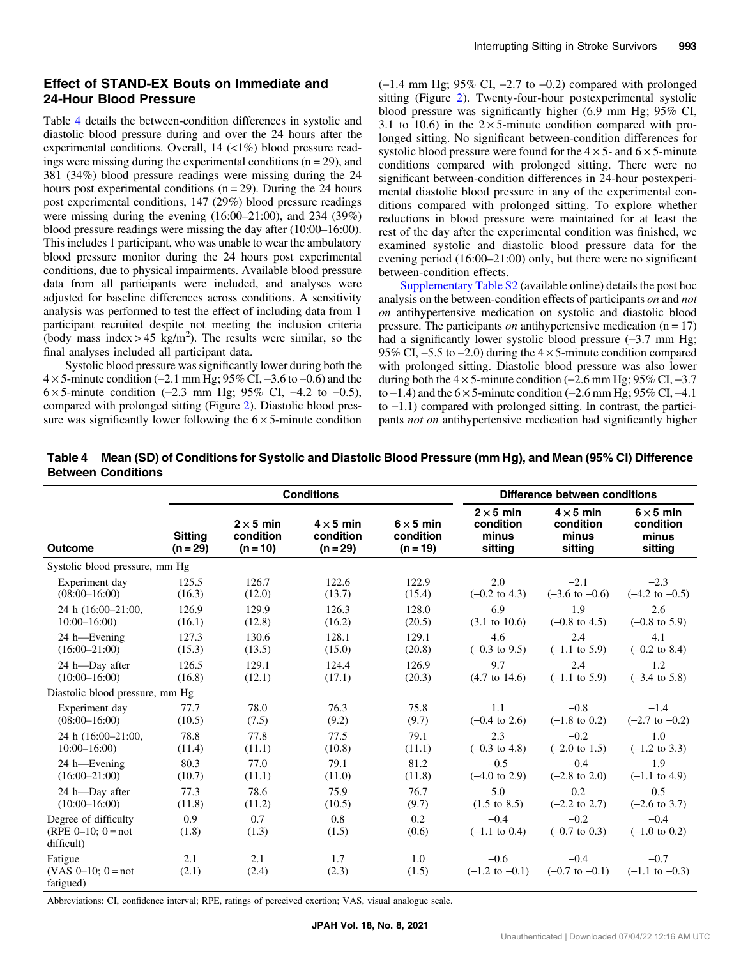## Effect of STAND-EX Bouts on Immediate and 24-Hour Blood Pressure

Table 4 details the between-condition differences in systolic and diastolic blood pressure during and over the 24 hours after the experimental conditions. Overall, 14 (<1%) blood pressure readings were missing during the experimental conditions  $(n = 29)$ , and 381 (34%) blood pressure readings were missing during the 24 hours post experimental conditions  $(n = 29)$ . During the 24 hours post experimental conditions, 147 (29%) blood pressure readings were missing during the evening (16:00–21:00), and 234 (39%) blood pressure readings were missing the day after (10:00–16:00). This includes 1 participant, who was unable to wear the ambulatory blood pressure monitor during the 24 hours post experimental conditions, due to physical impairments. Available blood pressure data from all participants were included, and analyses were adjusted for baseline differences across conditions. A sensitivity analysis was performed to test the effect of including data from 1 participant recruited despite not meeting the inclusion criteria (body mass index > 45 kg/m<sup>2</sup>). The results were similar, so the final analyses included all participant data.

Systolic blood pressure was significantly lower during both the 4 × 5-minute condition (−2.1 mm Hg; 95% CI, −3.6 to −0.6) and the  $6 \times 5$ -minute condition (−2.3 mm Hg; 95% CI, −4.2 to −0.5), compared with prolonged sitting (Figure [2](#page-6-0)). Diastolic blood pressure was significantly lower following the  $6 \times 5$ -minute condition (−1.4 mm Hg; 95% CI, −2.7 to −0.2) compared with prolonged sitting (Figure [2\)](#page-6-0). Twenty-four-hour postexperimental systolic blood pressure was significantly higher (6.9 mm Hg; 95% CI, 3.1 to 10.6) in the  $2 \times 5$ -minute condition compared with prolonged sitting. No significant between-condition differences for systolic blood pressure were found for the  $4 \times 5$ - and  $6 \times 5$ -minute conditions compared with prolonged sitting. There were no significant between-condition differences in 24-hour postexperimental diastolic blood pressure in any of the experimental conditions compared with prolonged sitting. To explore whether reductions in blood pressure were maintained for at least the rest of the day after the experimental condition was finished, we examined systolic and diastolic blood pressure data for the evening period (16:00–21:00) only, but there were no significant between-condition effects.

[Supplementary Table S2](https://doi.org/10.1123/jpah.2020-0763) (available online) details the post hoc analysis on the between-condition effects of participants on and not on antihypertensive medication on systolic and diastolic blood pressure. The participants *on* antihypertensive medication  $(n = 17)$ had a significantly lower systolic blood pressure (-3.7 mm Hg; 95% CI, −5.5 to −2.0) during the 4 × 5-minute condition compared with prolonged sitting. Diastolic blood pressure was also lower during both the  $4 \times 5$ -minute condition (−2.6 mm Hg; 95% CI, −3.7) to  $-1.4$ ) and the  $6 \times 5$ -minute condition ( $-2.6$  mm Hg; 95% CI,  $-4.1$ ) to −1.1) compared with prolonged sitting. In contrast, the participants not on antihypertensive medication had significantly higher

Table 4 Mean (SD) of Conditions for Systolic and Diastolic Blood Pressure (mm Hg), and Mean (95% CI) Difference Between Conditions

|                                                                 |                              |                                             | <b>Conditions</b>                           |                                             |                                                   | Difference between conditions                     |                                                   |
|-----------------------------------------------------------------|------------------------------|---------------------------------------------|---------------------------------------------|---------------------------------------------|---------------------------------------------------|---------------------------------------------------|---------------------------------------------------|
| <b>Outcome</b>                                                  | <b>Sitting</b><br>$(n = 29)$ | $2 \times 5$ min<br>condition<br>$(n = 10)$ | $4 \times 5$ min<br>condition<br>$(n = 29)$ | $6 \times 5$ min<br>condition<br>$(n = 19)$ | $2 \times 5$ min<br>condition<br>minus<br>sitting | $4 \times 5$ min<br>condition<br>minus<br>sitting | $6 \times 5$ min<br>condition<br>minus<br>sitting |
| Systolic blood pressure, mm Hg                                  |                              |                                             |                                             |                                             |                                                   |                                                   |                                                   |
| Experiment day                                                  | 125.5                        | 126.7                                       | 122.6                                       | 122.9                                       | 2.0                                               | $-2.1$                                            | $-2.3$                                            |
| $(08:00-16:00)$                                                 | (16.3)                       | (12.0)                                      | (13.7)                                      | (15.4)                                      | $(-0.2 \text{ to } 4.3)$                          | $(-3.6 \text{ to } -0.6)$                         | $(-4.2 \text{ to } -0.5)$                         |
| 24 h (16:00-21:00,                                              | 126.9                        | 129.9                                       | 126.3                                       | 128.0                                       | 6.9                                               | 1.9                                               | 2.6                                               |
| $10:00 - 16:00$                                                 | (16.1)                       | (12.8)                                      | (16.2)                                      | (20.5)                                      | $(3.1 \text{ to } 10.6)$                          | $(-0.8 \text{ to } 4.5)$                          | $(-0.8 \text{ to } 5.9)$                          |
| 24 h-Evening                                                    | 127.3                        | 130.6                                       | 128.1                                       | 129.1                                       | 4.6                                               | 2.4                                               | 4.1                                               |
| $(16:00 - 21:00)$                                               | (15.3)                       | (13.5)                                      | (15.0)                                      | (20.8)                                      | $(-0.3 \text{ to } 9.5)$                          | $(-1.1 \text{ to } 5.9)$                          | $(-0.2 \text{ to } 8.4)$                          |
| 24 h-Day after                                                  | 126.5                        | 129.1                                       | 124.4                                       | 126.9                                       | 9.7                                               | 2.4                                               | 1.2                                               |
| $(10:00-16:00)$                                                 | (16.8)                       | (12.1)                                      | (17.1)                                      | (20.3)                                      | $(4.7 \text{ to } 14.6)$                          | $(-1.1 \text{ to } 5.9)$                          | $(-3.4 \text{ to } 5.8)$                          |
| Diastolic blood pressure, mm Hg                                 |                              |                                             |                                             |                                             |                                                   |                                                   |                                                   |
| Experiment day                                                  | 77.7                         | 78.0                                        | 76.3                                        | 75.8                                        | 1.1                                               | $-0.8$                                            | $-1.4$                                            |
| $(08:00-16:00)$                                                 | (10.5)                       | (7.5)                                       | (9.2)                                       | (9.7)                                       | $(-0.4 \text{ to } 2.6)$                          | $(-1.8 \text{ to } 0.2)$                          | $(-2.7 \text{ to } -0.2)$                         |
| 24 h (16:00-21:00,                                              | 78.8                         | 77.8                                        | 77.5                                        | 79.1                                        | 2.3                                               | $-0.2$                                            | 1.0                                               |
| $10:00 - 16:00$                                                 | (11.4)                       | (11.1)                                      | (10.8)                                      | (11.1)                                      | $(-0.3 \text{ to } 4.8)$                          | $(-2.0 \text{ to } 1.5)$                          | $(-1.2 \text{ to } 3.3)$                          |
| 24 h-Evening                                                    | 80.3                         | 77.0                                        | 79.1                                        | 81.2                                        | $-0.5$                                            | $-0.4$                                            | 1.9                                               |
| $(16:00 - 21:00)$                                               | (10.7)                       | (11.1)                                      | (11.0)                                      | (11.8)                                      | $(-4.0 \text{ to } 2.9)$                          | $(-2.8 \text{ to } 2.0)$                          | $(-1.1 \text{ to } 4.9)$                          |
| 24 h-Day after                                                  | 77.3                         | 78.6                                        | 75.9                                        | 76.7                                        | 5.0                                               | 0.2                                               | 0.5                                               |
| $(10:00 - 16:00)$                                               | (11.8)                       | (11.2)                                      | (10.5)                                      | (9.7)                                       | $(1.5 \text{ to } 8.5)$                           | $(-2.2 \text{ to } 2.7)$                          | $(-2.6 \text{ to } 3.7)$                          |
| Degree of difficulty<br>(RPE $0-10$ ; $0 = not$ )<br>difficult) | 0.9<br>(1.8)                 | 0.7<br>(1.3)                                | 0.8<br>(1.5)                                | 0.2<br>(0.6)                                | $-0.4$<br>$(-1.1 \text{ to } 0.4)$                | $-0.2$<br>$(-0.7 \text{ to } 0.3)$                | $-0.4$<br>$(-1.0 \text{ to } 0.2)$                |
| Fatigue<br>(VAS $0-10$ ; $0=$ not<br>fatigued)                  | 2.1<br>(2.1)                 | 2.1<br>(2.4)                                | 1.7<br>(2.3)                                | 1.0<br>(1.5)                                | $-0.6$<br>$(-1.2 \text{ to } -0.1)$               | $-0.4$<br>$(-0.7 \text{ to } -0.1)$               | $-0.7$<br>$(-1.1 \text{ to } -0.3)$               |

Abbreviations: CI, confidence interval; RPE, ratings of perceived exertion; VAS, visual analogue scale.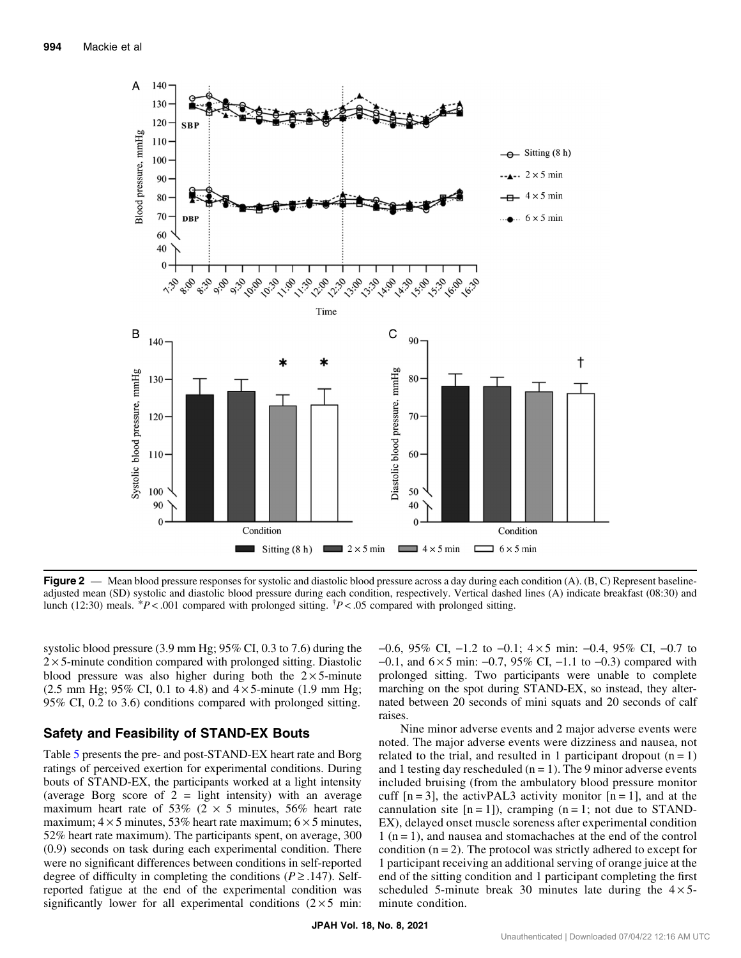<span id="page-6-0"></span>

**Figure 2** — Mean blood pressure responses for systolic and diastolic blood pressure across a day during each condition  $(A)$ .  $(B, C)$  Represent baselineadjusted mean (SD) systolic and diastolic blood pressure during each condition, respectively. Vertical dashed lines (A) indicate breakfast (08:30) and lunch (12:30) meals.  $*P < .001$  compared with prolonged sitting.  $*P < .05$  compared with prolonged sitting.

systolic blood pressure (3.9 mm Hg; 95% CI, 0.3 to 7.6) during the  $2 \times 5$ -minute condition compared with prolonged sitting. Diastolic blood pressure was also higher during both the  $2 \times 5$ -minute (2.5 mm Hg; 95% CI, 0.1 to 4.8) and  $4 \times 5$ -minute (1.9 mm Hg; 95% CI, 0.2 to 3.6) conditions compared with prolonged sitting.

#### Safety and Feasibility of STAND-EX Bouts

Table [5](#page-7-0) presents the pre- and post-STAND-EX heart rate and Borg ratings of perceived exertion for experimental conditions. During bouts of STAND-EX, the participants worked at a light intensity (average Borg score of  $2 =$  light intensity) with an average maximum heart rate of 53% ( $2 \times 5$  minutes, 56% heart rate maximum;  $4 \times 5$  minutes, 53% heart rate maximum;  $6 \times 5$  minutes, 52% heart rate maximum). The participants spent, on average, 300 (0.9) seconds on task during each experimental condition. There were no significant differences between conditions in self-reported degree of difficulty in completing the conditions ( $P \ge 0.147$ ). Selfreported fatigue at the end of the experimental condition was significantly lower for all experimental conditions  $(2 \times 5 \text{ min})$ : −0.6, 95% CI, −1.2 to −0.1; 4 × 5 min: −0.4, 95% CI, −0.7 to −0.1, and 6 × 5 min: −0.7, 95% CI, −1.1 to −0.3) compared with prolonged sitting. Two participants were unable to complete marching on the spot during STAND-EX, so instead, they alternated between 20 seconds of mini squats and 20 seconds of calf raises.

Nine minor adverse events and 2 major adverse events were noted. The major adverse events were dizziness and nausea, not related to the trial, and resulted in 1 participant dropout  $(n = 1)$ and 1 testing day rescheduled  $(n = 1)$ . The 9 minor adverse events included bruising (from the ambulatory blood pressure monitor cuff  $[n = 3]$ , the activPAL3 activity monitor  $[n = 1]$ , and at the cannulation site  $[n = 1]$ ), cramping  $(n = 1; \text{ not due to STAND-}$ EX), delayed onset muscle soreness after experimental condition  $1$  (n = 1), and nausea and stomachaches at the end of the control condition  $(n = 2)$ . The protocol was strictly adhered to except for 1 participant receiving an additional serving of orange juice at the end of the sitting condition and 1 participant completing the first scheduled 5-minute break 30 minutes late during the  $4 \times 5$ minute condition.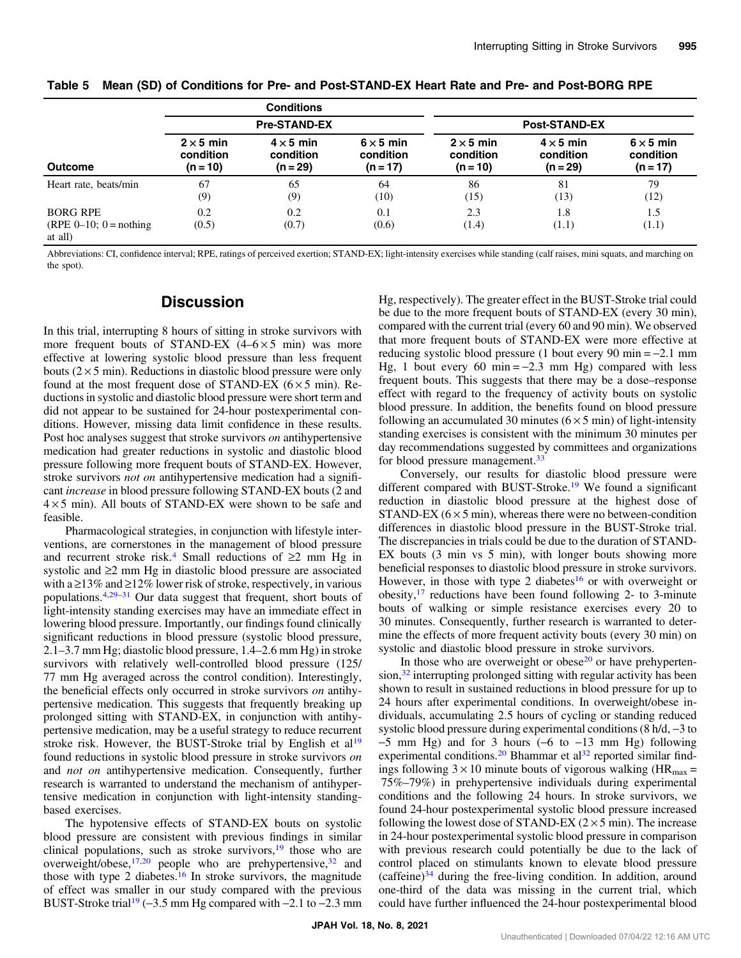|                                                                    |                                             | <b>Conditions</b>                         |                                             |                                             |                                             |                                             |
|--------------------------------------------------------------------|---------------------------------------------|-------------------------------------------|---------------------------------------------|---------------------------------------------|---------------------------------------------|---------------------------------------------|
|                                                                    |                                             | <b>Pre-STAND-EX</b>                       |                                             |                                             | <b>Post-STAND-EX</b>                        |                                             |
| <b>Outcome</b>                                                     | $2 \times 5$ min<br>condition<br>$(n = 10)$ | $4 \times 5$ min<br>condition<br>(n = 29) | $6 \times 5$ min<br>condition<br>$(n = 17)$ | $2 \times 5$ min<br>condition<br>$(n = 10)$ | $4 \times 5$ min<br>condition<br>$(n = 29)$ | $6 \times 5$ min<br>condition<br>$(n = 17)$ |
| Heart rate, beats/min                                              | 67<br>(9)                                   | 65<br>(9)                                 | 64<br>(10)                                  | 86<br>(15)                                  | 81<br>(13)                                  | 79<br>(12)                                  |
| <b>BORG RPE</b><br>(RPE $0-10$ ; $0 = \text{nothing}$ )<br>at all) | 0.2<br>(0.5)                                | 0.2<br>(0.7)                              | 0.1<br>(0.6)                                | 2.3<br>(1.4)                                | 1.8<br>(1.1)                                | 1.5<br>(1.1)                                |

<span id="page-7-0"></span>

|  |  | Table 5 Mean (SD) of Conditions for Pre- and Post-STAND-EX Heart Rate and Pre- and Post-BORG RPE |  |  |  |  |  |  |  |  |
|--|--|--------------------------------------------------------------------------------------------------|--|--|--|--|--|--|--|--|
|--|--|--------------------------------------------------------------------------------------------------|--|--|--|--|--|--|--|--|

Abbreviations: CI, confidence interval; RPE, ratings of perceived exertion; STAND-EX; light-intensity exercises while standing (calf raises, mini squats, and marching on the spot).

## **Discussion**

In this trial, interrupting 8 hours of sitting in stroke survivors with more frequent bouts of STAND-EX  $(4-6\times5$  min) was more effective at lowering systolic blood pressure than less frequent bouts  $(2 \times 5 \text{ min})$ . Reductions in diastolic blood pressure were only found at the most frequent dose of STAND-EX ( $6 \times 5$  min). Reductions in systolic and diastolic blood pressure were short term and did not appear to be sustained for 24-hour postexperimental conditions. However, missing data limit confidence in these results. Post hoc analyses suggest that stroke survivors on antihypertensive medication had greater reductions in systolic and diastolic blood pressure following more frequent bouts of STAND-EX. However, stroke survivors *not on* antihypertensive medication had a significant increase in blood pressure following STAND-EX bouts (2 and  $4 \times 5$  min). All bouts of STAND-EX were shown to be safe and feasible.

Pharmacological strategies, in conjunction with lifestyle interventions, are cornerstones in the management of blood pressure and recurrent stroke risk.<sup>4</sup> Small reductions of  $\geq 2$  mm Hg in systolic and ≥2 mm Hg in diastolic blood pressure are associated with a  $\geq$ 13% and  $\geq$ 12% lower risk of stroke, respectively, in various populations.[4](#page-8-0)[,29](#page-9-0)–[31](#page-9-0) Our data suggest that frequent, short bouts of light-intensity standing exercises may have an immediate effect in lowering blood pressure. Importantly, our findings found clinically significant reductions in blood pressure (systolic blood pressure, 2.1–3.7 mm Hg; diastolic blood pressure, 1.4–2.6 mm Hg) in stroke survivors with relatively well-controlled blood pressure (125/ 77 mm Hg averaged across the control condition). Interestingly, the beneficial effects only occurred in stroke survivors on antihypertensive medication. This suggests that frequently breaking up prolonged sitting with STAND-EX, in conjunction with antihypertensive medication, may be a useful strategy to reduce recurrent stroke risk. However, the BUST-Stroke trial by English et al<sup>[19](#page-9-0)</sup> found reductions in systolic blood pressure in stroke survivors on and not on antihypertensive medication. Consequently, further research is warranted to understand the mechanism of antihypertensive medication in conjunction with light-intensity standingbased exercises.

The hypotensive effects of STAND-EX bouts on systolic blood pressure are consistent with previous findings in similar clinical populations, such as stroke survivors, $19$  those who are overweight/obese, $17,20$  people who are prehypertensive, $32$  and those with type 2 diabetes.<sup>[16](#page-9-0)</sup> In stroke survivors, the magnitude of effect was smaller in our study compared with the previous BUST-Stroke trial<sup>19</sup> (−3.5 mm Hg compared with  $-2.1$  to  $-2.3$  mm Hg, respectively). The greater effect in the BUST-Stroke trial could be due to the more frequent bouts of STAND-EX (every 30 min), compared with the current trial (every 60 and 90 min). We observed that more frequent bouts of STAND-EX were more effective at reducing systolic blood pressure (1 bout every 90 min = −2.1 mm Hg, 1 bout every 60 min =  $-2.3$  mm Hg) compared with less frequent bouts. This suggests that there may be a dose–response effect with regard to the frequency of activity bouts on systolic blood pressure. In addition, the benefits found on blood pressure following an accumulated 30 minutes  $(6 \times 5 \text{ min})$  of light-intensity standing exercises is consistent with the minimum 30 minutes per day recommendations suggested by committees and organizations for blood pressure management.<sup>33</sup>

Conversely, our results for diastolic blood pressure were different compared with BUST-Stroke.<sup>[19](#page-9-0)</sup> We found a significant reduction in diastolic blood pressure at the highest dose of STAND-EX  $(6 \times 5 \text{ min})$ , whereas there were no between-condition differences in diastolic blood pressure in the BUST-Stroke trial. The discrepancies in trials could be due to the duration of STAND-EX bouts (3 min vs 5 min), with longer bouts showing more beneficial responses to diastolic blood pressure in stroke survivors. However, in those with type 2 diabetes<sup>16</sup> or with overweight or obesity,  $17$  reductions have been found following 2- to 3-minute bouts of walking or simple resistance exercises every 20 to 30 minutes. Consequently, further research is warranted to determine the effects of more frequent activity bouts (every 30 min) on systolic and diastolic blood pressure in stroke survivors.

In those who are overweight or obese $20$  or have prehyperten- $\sin^{32}$  interrupting prolonged sitting with regular activity has been shown to result in sustained reductions in blood pressure for up to 24 hours after experimental conditions. In overweight/obese individuals, accumulating 2.5 hours of cycling or standing reduced systolic blood pressure during experimental conditions (8 h/d, −3 to  $-5$  mm Hg) and for 3 hours ( $-6$  to  $-13$  mm Hg) following experimental conditions.<sup>20</sup> Bhammar et al<sup>[32](#page-9-0)</sup> reported similar findings following  $3 \times 10$  minute bouts of vigorous walking (HR<sub>max</sub> = 75%–79%) in prehypertensive individuals during experimental conditions and the following 24 hours. In stroke survivors, we found 24-hour postexperimental systolic blood pressure increased following the lowest dose of STAND-EX  $(2 \times 5 \text{ min})$ . The increase in 24-hour postexperimental systolic blood pressure in comparison with previous research could potentially be due to the lack of control placed on stimulants known to elevate blood pressure  $(c$ affeine $)^{34}$  during the free-living condition. In addition, around one-third of the data was missing in the current trial, which could have further influenced the 24-hour postexperimental blood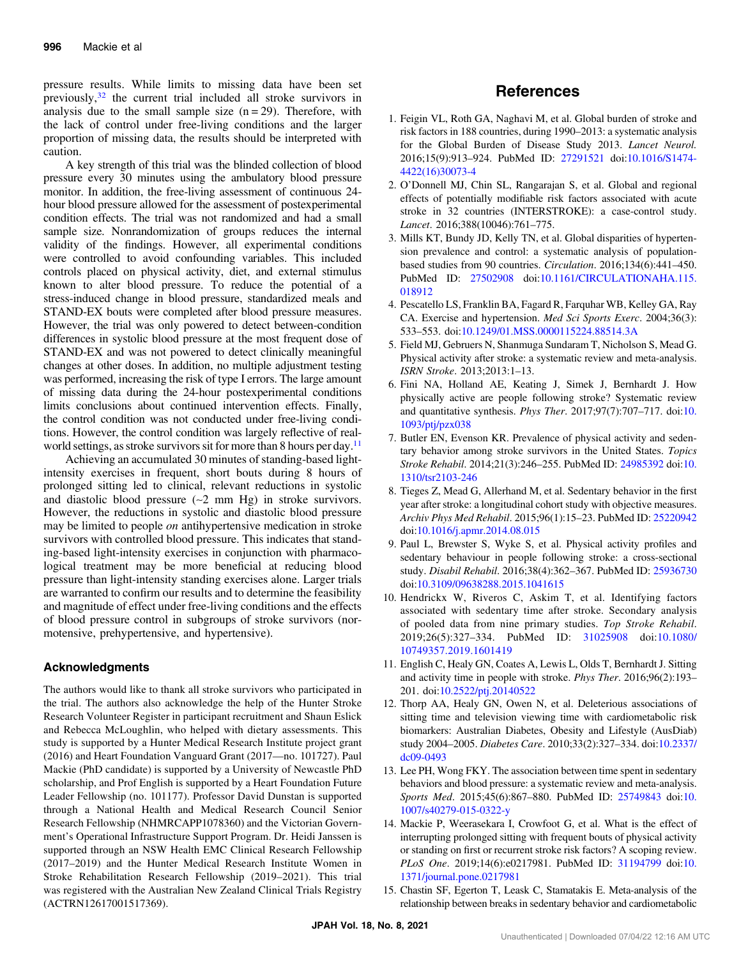<span id="page-8-0"></span>pressure results. While limits to missing data have been set previously[,32](#page-9-0) the current trial included all stroke survivors in analysis due to the small sample size  $(n = 29)$ . Therefore, with the lack of control under free-living conditions and the larger proportion of missing data, the results should be interpreted with caution.

A key strength of this trial was the blinded collection of blood pressure every 30 minutes using the ambulatory blood pressure monitor. In addition, the free-living assessment of continuous 24 hour blood pressure allowed for the assessment of postexperimental condition effects. The trial was not randomized and had a small sample size. Nonrandomization of groups reduces the internal validity of the findings. However, all experimental conditions were controlled to avoid confounding variables. This included controls placed on physical activity, diet, and external stimulus known to alter blood pressure. To reduce the potential of a stress-induced change in blood pressure, standardized meals and STAND-EX bouts were completed after blood pressure measures. However, the trial was only powered to detect between-condition differences in systolic blood pressure at the most frequent dose of STAND-EX and was not powered to detect clinically meaningful changes at other doses. In addition, no multiple adjustment testing was performed, increasing the risk of type I errors. The large amount of missing data during the 24-hour postexperimental conditions limits conclusions about continued intervention effects. Finally, the control condition was not conducted under free-living conditions. However, the control condition was largely reflective of realworld settings, as stroke survivors sit for more than 8 hours per day.<sup>11</sup>

Achieving an accumulated 30 minutes of standing-based lightintensity exercises in frequent, short bouts during 8 hours of prolonged sitting led to clinical, relevant reductions in systolic and diastolic blood pressure (∼2 mm Hg) in stroke survivors. However, the reductions in systolic and diastolic blood pressure may be limited to people *on* antihypertensive medication in stroke survivors with controlled blood pressure. This indicates that standing-based light-intensity exercises in conjunction with pharmacological treatment may be more beneficial at reducing blood pressure than light-intensity standing exercises alone. Larger trials are warranted to confirm our results and to determine the feasibility and magnitude of effect under free-living conditions and the effects of blood pressure control in subgroups of stroke survivors (normotensive, prehypertensive, and hypertensive).

### Acknowledgments

The authors would like to thank all stroke survivors who participated in the trial. The authors also acknowledge the help of the Hunter Stroke Research Volunteer Register in participant recruitment and Shaun Eslick and Rebecca McLoughlin, who helped with dietary assessments. This study is supported by a Hunter Medical Research Institute project grant (2016) and Heart Foundation Vanguard Grant (2017—no. 101727). Paul Mackie (PhD candidate) is supported by a University of Newcastle PhD scholarship, and Prof English is supported by a Heart Foundation Future Leader Fellowship (no. 101177). Professor David Dunstan is supported through a National Health and Medical Research Council Senior Research Fellowship (NHMRCAPP1078360) and the Victorian Government's Operational Infrastructure Support Program. Dr. Heidi Janssen is supported through an NSW Health EMC Clinical Research Fellowship (2017–2019) and the Hunter Medical Research Institute Women in Stroke Rehabilitation Research Fellowship (2019–2021). This trial was registered with the Australian New Zealand Clinical Trials Registry (ACTRN12617001517369).

## References

- 1. Feigin VL, Roth GA, Naghavi M, et al. Global burden of stroke and risk factors in 188 countries, during 1990–2013: a systematic analysis for the Global Burden of Disease Study 2013. Lancet Neurol. 2016;15(9):913–924. PubMed ID: [27291521](http://www.ncbi.nlm.nih.gov/pubmed/27291521?dopt=Abstract) doi[:10.1016/S1474-](https://doi.org/10.1016/S1474-4422(16)30073-4) [4422\(16\)30073-4](https://doi.org/10.1016/S1474-4422(16)30073-4)
- 2. O'Donnell MJ, Chin SL, Rangarajan S, et al. Global and regional effects of potentially modifiable risk factors associated with acute stroke in 32 countries (INTERSTROKE): a case-control study. Lancet. 2016;388(10046):761–775.
- 3. Mills KT, Bundy JD, Kelly TN, et al. Global disparities of hypertension prevalence and control: a systematic analysis of populationbased studies from 90 countries. Circulation. 2016;134(6):441–450. PubMed ID: [27502908](http://www.ncbi.nlm.nih.gov/pubmed/27502908?dopt=Abstract) doi[:10.1161/CIRCULATIONAHA.115.](https://doi.org/10.1161/CIRCULATIONAHA.115.018912) [018912](https://doi.org/10.1161/CIRCULATIONAHA.115.018912)
- 4. Pescatello LS, Franklin BA, Fagard R, Farquhar WB, Kelley GA, Ray CA. Exercise and hypertension. Med Sci Sports Exerc. 2004;36(3): 533–553. doi[:10.1249/01.MSS.0000115224.88514.3A](https://doi.org/10.1249/01.MSS.0000115224.88514.3A)
- 5. Field MJ, Gebruers N, Shanmuga Sundaram T, Nicholson S, Mead G. Physical activity after stroke: a systematic review and meta-analysis. ISRN Stroke. 2013;2013:1–13.
- 6. Fini NA, Holland AE, Keating J, Simek J, Bernhardt J. How physically active are people following stroke? Systematic review and quantitative synthesis. Phys Ther. 2017;97(7):707–717. doi:[10.](https://doi.org/10.1093/ptj/pzx038) [1093/ptj/pzx038](https://doi.org/10.1093/ptj/pzx038)
- 7. Butler EN, Evenson KR. Prevalence of physical activity and sedentary behavior among stroke survivors in the United States. Topics Stroke Rehabil. 2014;21(3):246–255. PubMed ID: [24985392](http://www.ncbi.nlm.nih.gov/pubmed/24985392?dopt=Abstract) doi:[10.](https://doi.org/10.1310/tsr2103-246) [1310/tsr2103-246](https://doi.org/10.1310/tsr2103-246)
- 8. Tieges Z, Mead G, Allerhand M, et al. Sedentary behavior in the first year after stroke: a longitudinal cohort study with objective measures. Archiv Phys Med Rehabil. 2015;96(1):15–23. PubMed ID: [25220942](http://www.ncbi.nlm.nih.gov/pubmed/25220942?dopt=Abstract) doi:[10.1016/j.apmr.2014.08.015](https://doi.org/10.1016/j.apmr.2014.08.015)
- 9. Paul L, Brewster S, Wyke S, et al. Physical activity profiles and sedentary behaviour in people following stroke: a cross-sectional study. Disabil Rehabil. 2016;38(4):362–367. PubMed ID: [25936730](http://www.ncbi.nlm.nih.gov/pubmed/25936730?dopt=Abstract) doi:[10.3109/09638288.2015.1041615](https://doi.org/10.3109/09638288.2015.1041615)
- 10. Hendrickx W, Riveros C, Askim T, et al. Identifying factors associated with sedentary time after stroke. Secondary analysis of pooled data from nine primary studies. Top Stroke Rehabil. 2019;26(5):327–334. PubMed ID: [31025908](http://www.ncbi.nlm.nih.gov/pubmed/31025908?dopt=Abstract) doi[:10.1080/](https://doi.org/10.1080/10749357.2019.1601419) [10749357.2019.1601419](https://doi.org/10.1080/10749357.2019.1601419)
- 11. English C, Healy GN, Coates A, Lewis L, Olds T, Bernhardt J. Sitting and activity time in people with stroke. Phys Ther. 2016;96(2):193– 201. doi[:10.2522/ptj.20140522](https://doi.org/10.2522/ptj.20140522)
- 12. Thorp AA, Healy GN, Owen N, et al. Deleterious associations of sitting time and television viewing time with cardiometabolic risk biomarkers: Australian Diabetes, Obesity and Lifestyle (AusDiab) study 2004–2005. Diabetes Care. 2010;33(2):327–334. doi[:10.2337/](https://doi.org/10.2337/dc09-0493) [dc09-0493](https://doi.org/10.2337/dc09-0493)
- 13. Lee PH, Wong FKY. The association between time spent in sedentary behaviors and blood pressure: a systematic review and meta-analysis. Sports Med. 2015;45(6):867–880. PubMed ID: [25749843](http://www.ncbi.nlm.nih.gov/pubmed/25749843?dopt=Abstract) doi:[10.](https://doi.org/10.1007/s40279-015-0322-y) [1007/s40279-015-0322-y](https://doi.org/10.1007/s40279-015-0322-y)
- 14. Mackie P, Weerasekara I, Crowfoot G, et al. What is the effect of interrupting prolonged sitting with frequent bouts of physical activity or standing on first or recurrent stroke risk factors? A scoping review. PLoS One. 2019;14(6):e0217981. PubMed ID: [31194799](http://www.ncbi.nlm.nih.gov/pubmed/31194799 ?dopt=Abstract) doi:[10.](https://doi.org/10.1371/journal.pone.0217981) [1371/journal.pone.0217981](https://doi.org/10.1371/journal.pone.0217981)
- 15. Chastin SF, Egerton T, Leask C, Stamatakis E. Meta-analysis of the relationship between breaks in sedentary behavior and cardiometabolic